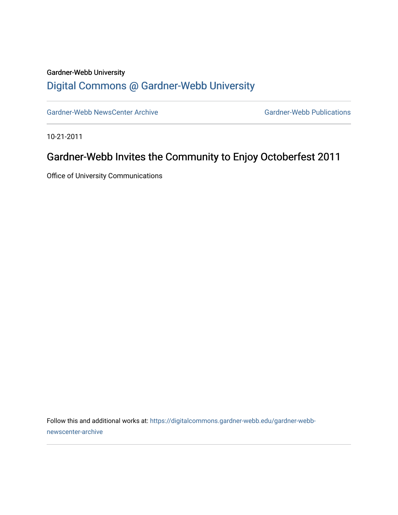## Gardner-Webb University [Digital Commons @ Gardner-Webb University](https://digitalcommons.gardner-webb.edu/)

[Gardner-Webb NewsCenter Archive](https://digitalcommons.gardner-webb.edu/gardner-webb-newscenter-archive) Gardner-Webb Publications

10-21-2011

## Gardner-Webb Invites the Community to Enjoy Octoberfest 2011

Office of University Communications

Follow this and additional works at: [https://digitalcommons.gardner-webb.edu/gardner-webb](https://digitalcommons.gardner-webb.edu/gardner-webb-newscenter-archive?utm_source=digitalcommons.gardner-webb.edu%2Fgardner-webb-newscenter-archive%2F2009&utm_medium=PDF&utm_campaign=PDFCoverPages)[newscenter-archive](https://digitalcommons.gardner-webb.edu/gardner-webb-newscenter-archive?utm_source=digitalcommons.gardner-webb.edu%2Fgardner-webb-newscenter-archive%2F2009&utm_medium=PDF&utm_campaign=PDFCoverPages)